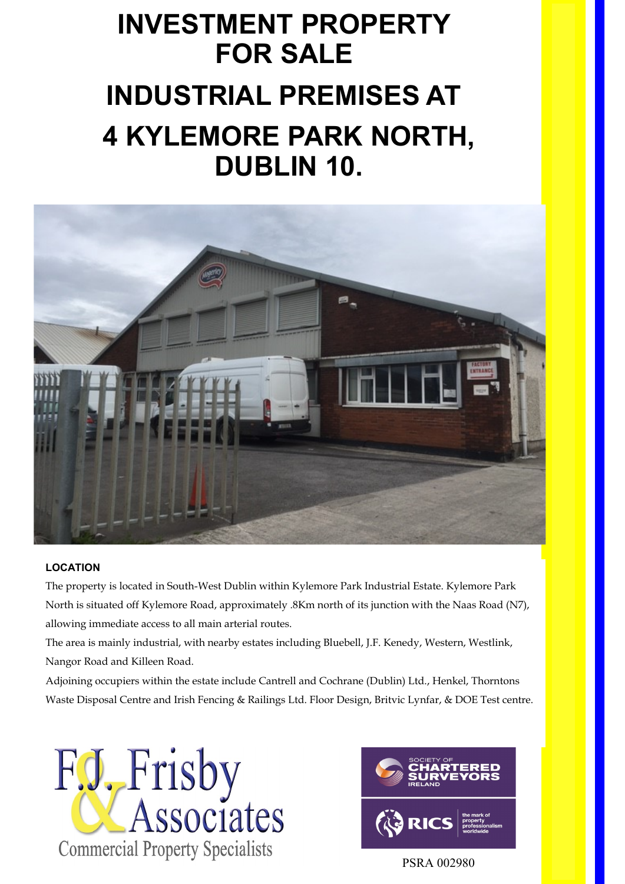# **INVESTMENT PROPERTY FOR SALE INDUSTRIAL PREMISES AT 4 KYLEMORE PARK NORTH, DUBLIN 10.**



# **LOCATION**

The property is located in South-West Dublin within Kylemore Park Industrial Estate. Kylemore Park North is situated off Kylemore Road, approximately .8Km north of its junction with the Naas Road (N7), allowing immediate access to all main arterial routes.

The area is mainly industrial, with nearby estates including Bluebell, J.F. Kenedy, Western, Westlink, Nangor Road and Killeen Road.

Adjoining occupiers within the estate include Cantrell and Cochrane (Dublin) Ltd., Henkel, Thorntons Waste Disposal Centre and Irish Fencing & Railings Ltd. Floor Design, Britvic Lynfar, & DOE Test centre.





PSRA 002980